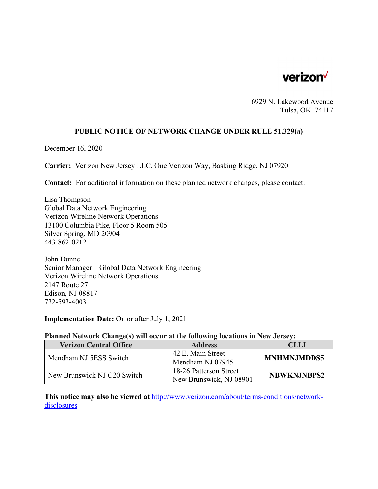

6929 N. Lakewood Avenue Tulsa, OK 74117

# **PUBLIC NOTICE OF NETWORK CHANGE UNDER RULE 51.329(a)**

December 16, 2020

**Carrier:** Verizon New Jersey LLC, One Verizon Way, Basking Ridge, NJ 07920

**Contact:** For additional information on these planned network changes, please contact:

Lisa Thompson Global Data Network Engineering Verizon Wireline Network Operations 13100 Columbia Pike, Floor 5 Room 505 Silver Spring, MD 20904 443-862-0212

John Dunne Senior Manager – Global Data Network Engineering Verizon Wireline Network Operations 2147 Route 27 Edison, NJ 08817 732-593-4003

**Implementation Date:** On or after July 1, 2021

#### **Planned Network Change(s) will occur at the following locations in New Jersey:**

| <b>Verizon Central Office</b> | <b>Address</b>          | CLLI               |
|-------------------------------|-------------------------|--------------------|
| Mendham NJ 5ESS Switch        | 42 E. Main Street       | <b>MNHMNJMDDS5</b> |
|                               | Mendham NJ 07945        |                    |
| New Brunswick NJ C20 Switch   | 18-26 Patterson Street  | <b>NBWKNJNBPS2</b> |
|                               | New Brunswick, NJ 08901 |                    |

**This notice may also be viewed at** http://www.verizon.com/about/terms-conditions/networkdisclosures